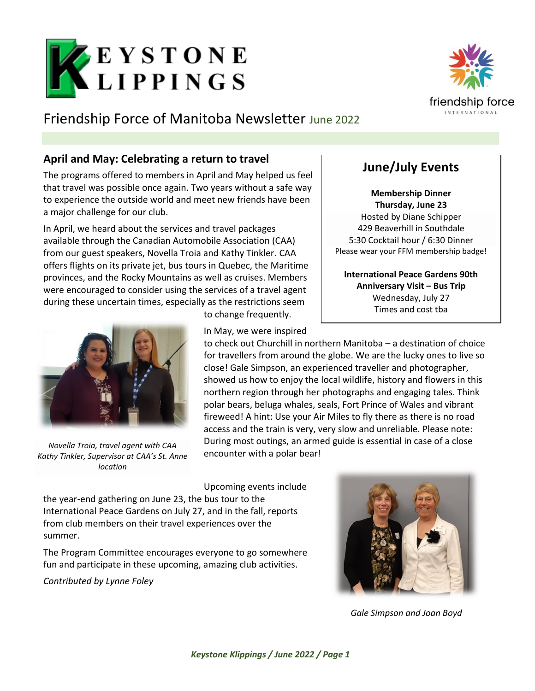

# Friendship Force of Manitoba Newsletter June 2022

### **April and May: Celebrating a return to travel**

The programs offered to members in April and May helped us feel that travel was possible once again. Two years without a safe way to experience the outside world and meet new friends have been a major challenge for our club.

In April, we heard about the services and travel packages available through the Canadian Automobile Association (CAA) from our guest speakers, Novella Troia and Kathy Tinkler. CAA offers flights on its private jet, bus tours in Quebec, the Maritime provinces, and the Rocky Mountains as well as cruises. Members were encouraged to consider using the services of a travel agent during these uncertain times, especially as the restrictions seem



*Novella Troia, travel agent with CAA Kathy Tinkler, Supervisor at CAA's St. Anne location*

to change frequently.

In May, we were inspired

to check out Churchill in northern Manitoba – a destination of choice for travellers from around the globe. We are the lucky ones to live so close! Gale Simpson, an experienced traveller and photographer, showed us how to enjoy the local wildlife, history and flowers in this northern region through her photographs and engaging tales. Think polar bears, beluga whales, seals, Fort Prince of Wales and vibrant fireweed! A hint: Use your Air Miles to fly there as there is no road access and the train is very, very slow and unreliable. Please note: During most outings, an armed guide is essential in case of a close encounter with a polar bear!

Upcoming events include

the year-end gathering on June 23, the bus tour to the International Peace Gardens on July 27, and in the fall, reports from club members on their travel experiences over the summer.

The Program Committee encourages everyone to go somewhere fun and participate in these upcoming, amazing club activities.

*Contributed by Lynne Foley*



*Gale Simpson and Joan Boyd*



## **June/July Events**

**Membership Dinner Thursday, June 23** Hosted by Diane Schipper 429 Beaverhill in Southdale 5:30 Cocktail hour / 6:30 Dinner Please wear your FFM membership badge!

**International Peace Gardens 90th Anniversary Visit – Bus Trip** Wednesday, July 27 Times and cost tba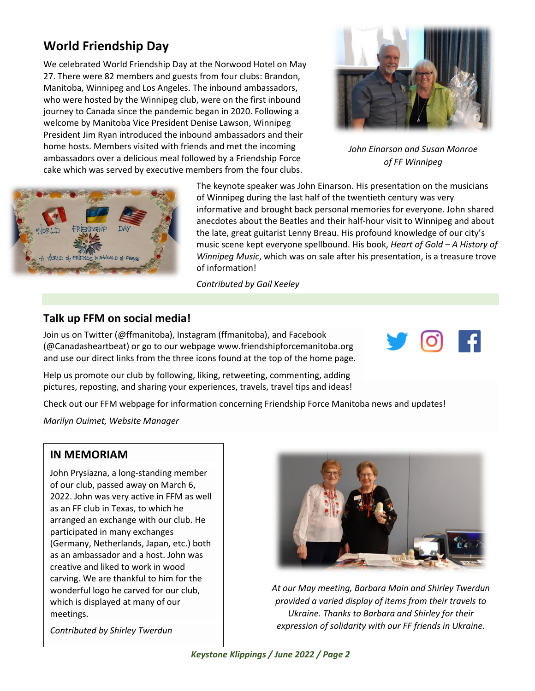## **World Friendship Day**

We celebrated World Friendship Day at the Norwood Hotel on May 27. There were 82 members and guests from four clubs: Brandon, Manitoba, Winnipeg and Los Angeles. The inbound ambassadors, who were hosted by the Winnipeg club, were on the first inbound journey to Canada since the pandemic began in 2020. Following a welcome by Manitoba Vice President Denise Lawson, Winnipeg President Jim Ryan introduced the inbound ambassadors and their home hosts. Members visited with friends and met the incoming ambassadors over a delicious meal followed by a Friendship Force cake which was served by executive members from the four clubs.



*John Einarson and Susan Monroe of FF Winnipeg*



The keynote speaker was John Einarson. His presentation on the musicians of Winnipeg during the last half of the twentieth century was very informative and brought back personal memories for everyone. John shared anecdotes about the Beatles and their half-hour visit to Winnipeg and about the late, great guitarist Lenny Breau. His profound knowledge of our city's music scene kept everyone spellbound. His book, *Heart of Gold – A History of Winnipeg Music*, which was on sale after his presentation, is a treasure trove of information!

*Contributed by Gail Keeley*

#### **Talk up FFM on social media!**

Join us on Twitter (@ffmanitoba), Instagram (ffmanitoba), and Facebook (@Canadasheartbeat) or go to our webpage [www.friendshipforcemanitoba.org](http://www.friendshipforcemanitoba.org/) and use our direct links from the three icons found at the top of the home page.

Help us promote our club by following, liking, retweeting, commenting, adding pictures, reposting, and sharing your experiences, travels, travel tips and ideas!

Check out our FFM webpage for information concerning Friendship Force Manitoba news and updates!

*Marilyn Ouimet, Website Manager*

#### **IN MEMORIAM**

John Prysiazna, a long-standing member of our club, passed away on March 6, 2022. John was very active in FFM as well as an FF club in Texas, to which he arranged an exchange with our club. He participated in many exchanges (Germany, Netherlands, Japan, etc.) both as an ambassador and a host. John was creative and liked to work in wood carving. We are thankful to him for the wonderful logo he carved for our club, which is displayed at many of our meetings.



*At our May meeting, Barbara Main and Shirley Twerdun provided a varied display of items from their travels to Ukraine. Thanks to Barbara and Shirley for their expression of solidarity with our FF friends in Ukraine.*

*Contributed by Shirley Twerdun*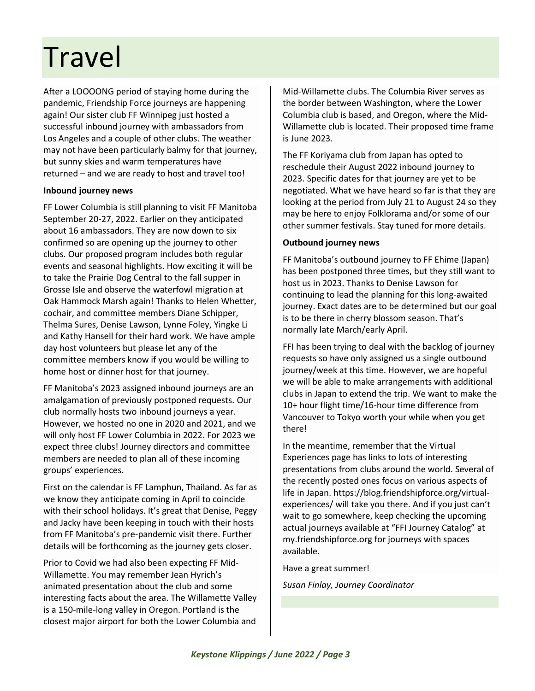# **Travel**

After a LOOOONG period of staying home during the pandemic, Friendship Force journeys are happening again! Our sister club FF Winnipeg just hosted a successful inbound journey with ambassadors from Los Angeles and a couple of other clubs. The weather may not have been particularly balmy for that journey, but sunny skies and warm temperatures have returned – and we are ready to host and travel too!

#### **Inbound journey news**

FF Lower Columbia is still planning to visit FF Manitoba September 20-27, 2022. Earlier on they anticipated about 16 ambassadors. They are now down to six confirmed so are opening up the journey to other clubs. Our proposed program includes both regular events and seasonal highlights. How exciting it will be to take the Prairie Dog Central to the fall supper in Grosse Isle and observe the waterfowl migration at Oak Hammock Marsh again! Thanks to Helen Whetter, cochair, and committee members Diane Schipper, Thelma Sures, Denise Lawson, Lynne Foley, Yingke Li and Kathy Hansell for their hard work. We have ample day host volunteers but please let any of the committee members know if you would be willing to home host or dinner host for that journey.

FF Manitoba's 2023 assigned inbound journeys are an amalgamation of previously postponed requests. Our club normally hosts two inbound journeys a year. However, we hosted no one in 2020 and 2021, and we will only host FF Lower Columbia in 2022. For 2023 we expect three clubs! Journey directors and committee members are needed to plan all of these incoming groups' experiences.

First on the calendar is FF Lamphun, Thailand. As far as we know they anticipate coming in April to coincide with their school holidays. It's great that Denise, Peggy and Jacky have been keeping in touch with their hosts from FF Manitoba's pre-pandemic visit there. Further details will be forthcoming as the journey gets closer.

Prior to Covid we had also been expecting FF Mid-Willamette. You may remember Jean Hyrich's animated presentation about the club and some interesting facts about the area. The Willamette Valley is a 150-mile-long valley in Oregon. Portland is the closest major airport for both the Lower Columbia and

Mid-Willamette clubs. The Columbia River serves as the border between Washington, where the Lower Columbia club is based, and Oregon, where the Mid-Willamette club is located. Their proposed time frame is June 2023.

The FF Koriyama club from Japan has opted to reschedule their August 2022 inbound journey to 2023. Specific dates for that journey are yet to be negotiated. What we have heard so far is that they are looking at the period from July 21 to August 24 so they may be here to enjoy Folklorama and/or some of our other summer festivals. Stay tuned for more details.

#### **Outbound journey news**

FF Manitoba's outbound journey to FF Ehime (Japan) has been postponed three times, but they still want to host us in 2023. Thanks to Denise Lawson for continuing to lead the planning for this long-awaited journey. Exact dates are to be determined but our goal is to be there in cherry blossom season. That's normally late March/early April.

FFI has been trying to deal with the backlog of journey requests so have only assigned us a single outbound journey/week at this time. However, we are hopeful we will be able to make arrangements with additional clubs in Japan to extend the trip. We want to make the 10+ hour flight time/16-hour time difference from Vancouver to Tokyo worth your while when you get there!

In the meantime, remember that the Virtual Experiences page has links to lots of interesting presentations from clubs around the world. Several of the recently posted ones focus on various aspects of life in Japan[. https://blog.friendshipforce.org/virtual](https://blog.friendshipforce.org/virtual-experiences/)[experiences/](https://blog.friendshipforce.org/virtual-experiences/) will take you there. And if you just can't wait to go somewhere, keep checking the upcoming actual journeys available at "FFI Journey Catalog" at my.friendshipforce.org for journeys with spaces available.

Have a great summer!

*Susan Finlay, Journey Coordinator*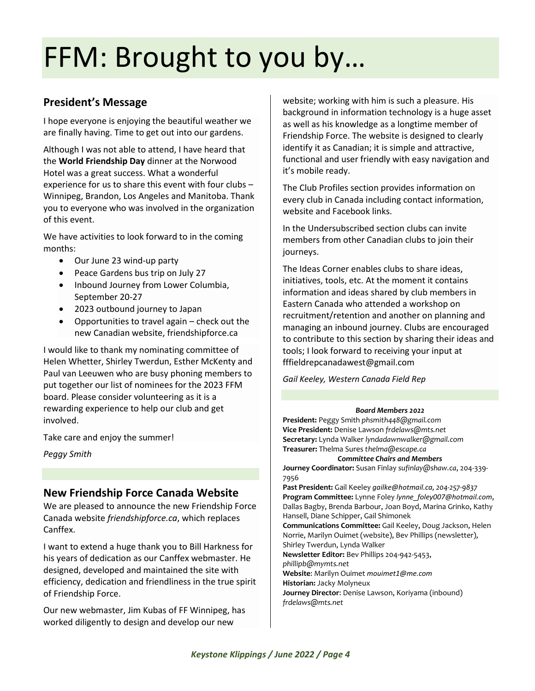# FFM: Brought to you by…

### **President's Message**

I hope everyone is enjoying the beautiful weather we are finally having. Time to get out into our gardens.

Although I was not able to attend, I have heard that the **World Friendship Day** dinner at the Norwood Hotel was a great success. What a wonderful experience for us to share this event with four clubs – Winnipeg, Brandon, Los Angeles and Manitoba. Thank you to everyone who was involved in the organization of this event.

We have activities to look forward to in the coming months:

- Our June 23 wind-up party
- Peace Gardens bus trip on July 27
- Inbound Journey from Lower Columbia, September 20-27
- 2023 outbound journey to Japan
- Opportunities to travel again check out the new Canadian website, friendshipforce.ca

I would like to thank my nominating committee of Helen Whetter, Shirley Twerdun, Esther McKenty and Paul van Leeuwen who are busy phoning members to put together our list of nominees for the 2023 FFM board. Please consider volunteering as it is a rewarding experience to help our club and get involved.

Take care and enjoy the summer!

*Peggy Smith*

#### **New Friendship Force Canada Website**

We are pleased to announce the new Friendship Force Canada website *friendshipforce.ca*, which replaces Canffex.

I want to extend a huge thank you to Bill Harkness for his years of dedication as our Canffex webmaster. He designed, developed and maintained the site with efficiency, dedication and friendliness in the true spirit of Friendship Force.

Our new webmaster, Jim Kubas of FF Winnipeg, has worked diligently to design and develop our new

website; working with him is such a pleasure. His background in information technology is a huge asset as well as his knowledge as a longtime member of Friendship Force. The website is designed to clearly identify it as Canadian; it is simple and attractive, functional and user friendly with easy navigation and it's mobile ready.

The Club Profiles section provides information on every club in Canada including contact information, website and Facebook links.

In the Undersubscribed section clubs can invite members from other Canadian clubs to join their journeys.

The Ideas Corner enables clubs to share ideas, initiatives, tools, etc. At the moment it contains information and ideas shared by club members in Eastern Canada who attended a workshop on recruitment/retention and another on planning and managing an inbound journey. Clubs are encouraged to contribute to this section by sharing their ideas and tools; I look forward to receiving your input at [fffieldrepcanadawest@gmail.com](mailto:fffieldrepcanadawest@gmail.com)

*Gail Keeley, Western Canada Field Rep*

#### *Board Members 2022*

**President:** Peggy Smith *phsmith448@gmail.com* **Vice President:** Denise Lawson *frdelaws@mts.net* **Secretary:** Lynda Walker *[lyndadawnwalker@gmail.com](mailto:lyndadawnwalker@gmail.com)* **Treasurer:** Thelma Sures *thelma@escape.ca*

#### *Committee Chairs and Members*

**Journey Coordinator:** Susan Finlay *sufinlay@shaw.ca*, 204-339- 7956

**Past President:** Gail Keeley *[gailke@hotmail.ca](mailto:gailke@hotmail.ca), 204-257-9837* **Program Committee:** Lynne Foley *[lynne\\_foley007@hotmail.com](mailto:lynne_foley007@hotmail.com)*, Dallas Bagby, Brenda Barbour, Joan Boyd, Marina Grinko, Kathy Hansell, Diane Schipper, Gail Shimonek **Communications Committee:** Gail Keeley, Doug Jackson, Helen Norrie, Marilyn Ouimet (website), Bev Phillips (newsletter), Shirley Twerdun, Lynda Walker **Newsletter Editor:** Bev Phillips 204-942-5453, *phillipb@mymts.net* **Website**: Marilyn Ouimet *[mouimet1@me.com](mailto:mouimet1@me.com)* **Historian:** Jacky Molyneux **Journey Director**: Denise Lawson, Koriyama (inbound)

*frdelaws@mts.net*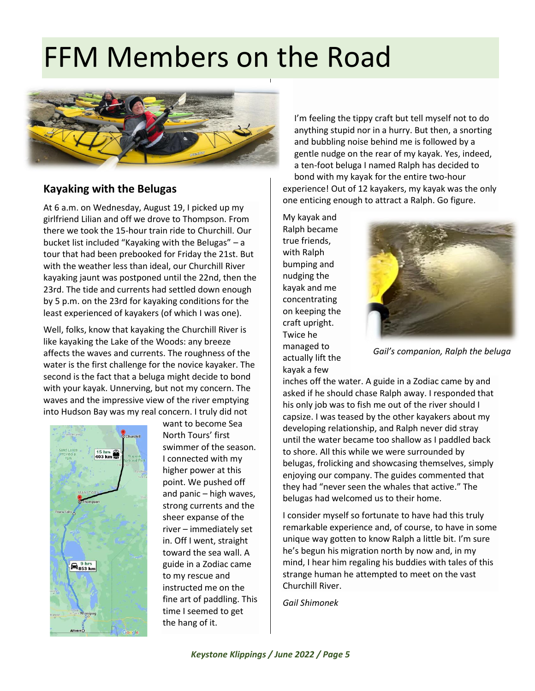# FFM Members on the Road



### **Kayaking with the Belugas**

At 6 a.m. on Wednesday, August 19, I picked up my girlfriend Lilian and off we drove to Thompson. From there we took the 15-hour train ride to Churchill. Our bucket list included "Kayaking with the Belugas" – a tour that had been prebooked for Friday the 21st. But with the weather less than ideal, our Churchill River kayaking jaunt was postponed until the 22nd, then the 23rd. The tide and currents had settled down enough by 5 p.m. on the 23rd for kayaking conditions for the least experienced of kayakers (of which I was one).

Well, folks, know that kayaking the Churchill River is like kayaking the Lake of the Woods: any breeze affects the waves and currents. The roughness of the water is the first challenge for the novice kayaker. The second is the fact that a beluga might decide to bond with your kayak. Unnerving, but not my concern. The waves and the impressive view of the river emptying into Hudson Bay was my real concern. I truly did not



want to become Sea North Tours' first swimmer of the season. I connected with my higher power at this point. We pushed off and panic – high waves, strong currents and the sheer expanse of the river – immediately set in. Off I went, straight toward the sea wall. A guide in a Zodiac came to my rescue and instructed me on the fine art of paddling. This time I seemed to get the hang of it.

I'm feeling the tippy craft but tell myself not to do anything stupid nor in a hurry. But then, a snorting and bubbling noise behind me is followed by a gentle nudge on the rear of my kayak. Yes, indeed, a ten-foot beluga I named Ralph has decided to bond with my kayak for the entire two-hour experience! Out of 12 kayakers, my kayak was the only one enticing enough to attract a Ralph. Go figure.

My kayak and Ralph became true friends, with Ralph bumping and nudging the kayak and me concentrating on keeping the craft upright. Twice he managed to actually lift the kayak a few



*Gail's companion, Ralph the beluga*

inches off the water. A guide in a Zodiac came by and asked if he should chase Ralph away. I responded that his only job was to fish me out of the river should I capsize. I was teased by the other kayakers about my developing relationship, and Ralph never did stray until the water became too shallow as I paddled back to shore. All this while we were surrounded by belugas, frolicking and showcasing themselves, simply enjoying our company. The guides commented that they had "never seen the whales that active." The belugas had welcomed us to their home.

I consider myself so fortunate to have had this truly remarkable experience and, of course, to have in some unique way gotten to know Ralph a little bit. I'm sure he's begun his migration north by now and, in my mind, I hear him regaling his buddies with tales of this strange human he attempted to meet on the vast Churchill River.

*Gail Shimonek*